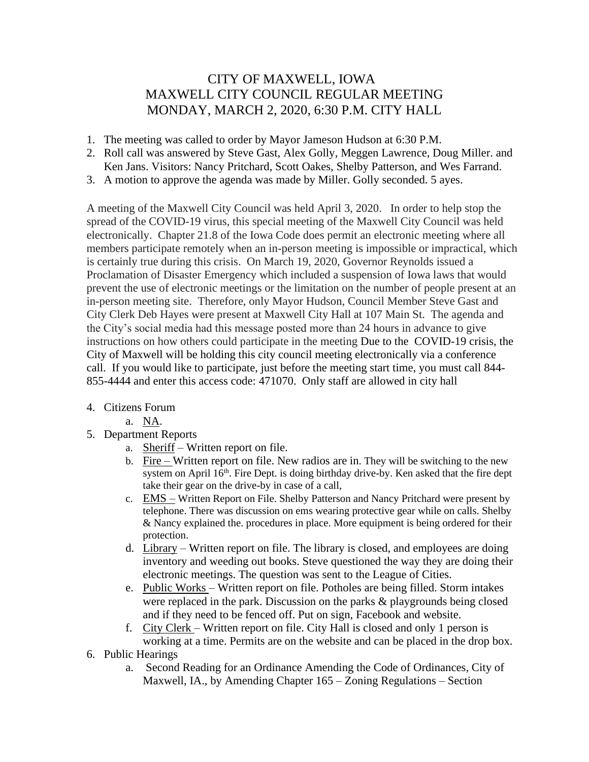## CITY OF MAXWELL, IOWA MAXWELL CITY COUNCIL REGULAR MEETING MONDAY, MARCH 2, 2020, 6:30 P.M. CITY HALL

- 1. The meeting was called to order by Mayor Jameson Hudson at 6:30 P.M.
- 2. Roll call was answered by Steve Gast, Alex Golly, Meggen Lawrence, Doug Miller. and Ken Jans. Visitors: Nancy Pritchard, Scott Oakes, Shelby Patterson, and Wes Farrand.
- 3. A motion to approve the agenda was made by Miller. Golly seconded. 5 ayes.

A meeting of the Maxwell City Council was held April 3, 2020. In order to help stop the spread of the COVID-19 virus, this special meeting of the Maxwell City Council was held electronically. Chapter 21.8 of the Iowa Code does permit an electronic meeting where all members participate remotely when an in-person meeting is impossible or impractical, which is certainly true during this crisis. On March 19, 2020, Governor Reynolds issued a Proclamation of Disaster Emergency which included a suspension of Iowa laws that would prevent the use of electronic meetings or the limitation on the number of people present at an in-person meeting site. Therefore, only Mayor Hudson, Council Member Steve Gast and City Clerk Deb Hayes were present at Maxwell City Hall at 107 Main St. The agenda and the City's social media had this message posted more than 24 hours in advance to give instructions on how others could participate in the meeting Due to the COVID-19 crisis, the City of Maxwell will be holding this city council meeting electronically via a conference call. If you would like to participate, just before the meeting start time, you must call 844- 855-4444 and enter this access code: 471070. Only staff are allowed in city hall

- 4. Citizens Forum
	- a. NA.
- 5. Department Reports
	- a. Sheriff Written report on file.
	- b. Fire Written report on file. New radios are in. They will be switching to the new system on April  $16<sup>th</sup>$ . Fire Dept. is doing birthday drive-by. Ken asked that the fire dept take their gear on the drive-by in case of a call,
	- c. EMS Written Report on File. Shelby Patterson and Nancy Pritchard were present by telephone. There was discussion on ems wearing protective gear while on calls. Shelby & Nancy explained the. procedures in place. More equipment is being ordered for their protection.
	- d. Library Written report on file. The library is closed, and employees are doing inventory and weeding out books. Steve questioned the way they are doing their electronic meetings. The question was sent to the League of Cities.
	- e. Public Works Written report on file. Potholes are being filled. Storm intakes were replaced in the park. Discussion on the parks & playgrounds being closed and if they need to be fenced off. Put on sign, Facebook and website.
	- f. City Clerk Written report on file. City Hall is closed and only 1 person is working at a time. Permits are on the website and can be placed in the drop box.
- 6. Public Hearings
	- a. Second Reading for an Ordinance Amending the Code of Ordinances, City of Maxwell, IA., by Amending Chapter 165 – Zoning Regulations – Section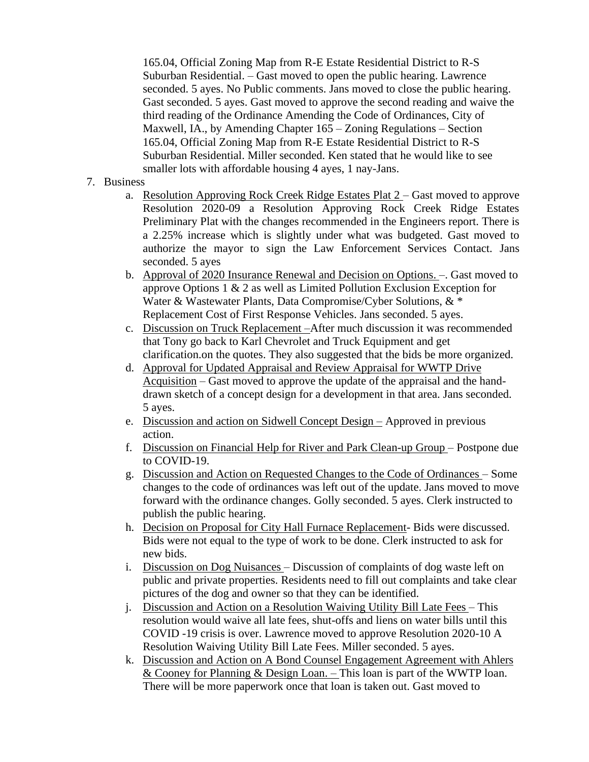165.04, Official Zoning Map from R-E Estate Residential District to R-S Suburban Residential. – Gast moved to open the public hearing. Lawrence seconded. 5 ayes. No Public comments. Jans moved to close the public hearing. Gast seconded. 5 ayes. Gast moved to approve the second reading and waive the third reading of the Ordinance Amending the Code of Ordinances, City of Maxwell, IA., by Amending Chapter 165 – Zoning Regulations – Section 165.04, Official Zoning Map from R-E Estate Residential District to R-S Suburban Residential. Miller seconded. Ken stated that he would like to see smaller lots with affordable housing 4 ayes, 1 nay-Jans.

## 7. Business

- a. Resolution Approving Rock Creek Ridge Estates Plat 2 Gast moved to approve Resolution 2020-09 a Resolution Approving Rock Creek Ridge Estates Preliminary Plat with the changes recommended in the Engineers report. There is a 2.25% increase which is slightly under what was budgeted. Gast moved to authorize the mayor to sign the Law Enforcement Services Contact. Jans seconded. 5 ayes
- b. Approval of 2020 Insurance Renewal and Decision on Options. –. Gast moved to approve Options 1 & 2 as well as Limited Pollution Exclusion Exception for Water & Wastewater Plants, Data Compromise/Cyber Solutions, & \* Replacement Cost of First Response Vehicles. Jans seconded. 5 ayes.
- c. Discussion on Truck Replacement –After much discussion it was recommended that Tony go back to Karl Chevrolet and Truck Equipment and get clarification.on the quotes. They also suggested that the bids be more organized.
- d. Approval for Updated Appraisal and Review Appraisal for WWTP Drive Acquisition – Gast moved to approve the update of the appraisal and the handdrawn sketch of a concept design for a development in that area. Jans seconded. 5 ayes.
- e. Discussion and action on Sidwell Concept Design Approved in previous action.
- f. Discussion on Financial Help for River and Park Clean-up Group Postpone due to COVID-19.
- g. Discussion and Action on Requested Changes to the Code of Ordinances Some changes to the code of ordinances was left out of the update. Jans moved to move forward with the ordinance changes. Golly seconded. 5 ayes. Clerk instructed to publish the public hearing.
- h. Decision on Proposal for City Hall Furnace Replacement- Bids were discussed. Bids were not equal to the type of work to be done. Clerk instructed to ask for new bids.
- i. Discussion on Dog Nuisances Discussion of complaints of dog waste left on public and private properties. Residents need to fill out complaints and take clear pictures of the dog and owner so that they can be identified.
- j. Discussion and Action on a Resolution Waiving Utility Bill Late Fees This resolution would waive all late fees, shut-offs and liens on water bills until this COVID -19 crisis is over. Lawrence moved to approve Resolution 2020-10 A Resolution Waiving Utility Bill Late Fees. Miller seconded. 5 ayes.
- k. Discussion and Action on A Bond Counsel Engagement Agreement with Ahlers & Cooney for Planning & Design Loan. – This loan is part of the WWTP loan. There will be more paperwork once that loan is taken out. Gast moved to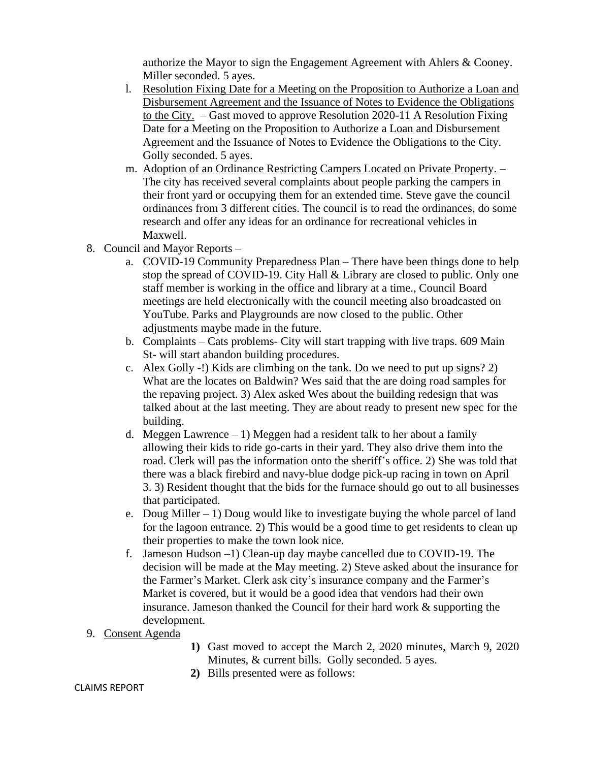authorize the Mayor to sign the Engagement Agreement with Ahlers & Cooney. Miller seconded. 5 ayes.

- l. Resolution Fixing Date for a Meeting on the Proposition to Authorize a Loan and Disbursement Agreement and the Issuance of Notes to Evidence the Obligations to the City. – Gast moved to approve Resolution 2020-11 A Resolution Fixing Date for a Meeting on the Proposition to Authorize a Loan and Disbursement Agreement and the Issuance of Notes to Evidence the Obligations to the City. Golly seconded. 5 ayes.
- m. Adoption of an Ordinance Restricting Campers Located on Private Property. The city has received several complaints about people parking the campers in their front yard or occupying them for an extended time. Steve gave the council ordinances from 3 different cities. The council is to read the ordinances, do some research and offer any ideas for an ordinance for recreational vehicles in Maxwell.
- 8. Council and Mayor Reports
	- a. COVID-19 Community Preparedness Plan There have been things done to help stop the spread of COVID-19. City Hall & Library are closed to public. Only one staff member is working in the office and library at a time., Council Board meetings are held electronically with the council meeting also broadcasted on YouTube. Parks and Playgrounds are now closed to the public. Other adjustments maybe made in the future.
	- b. Complaints Cats problems- City will start trapping with live traps. 609 Main St- will start abandon building procedures.
	- c. Alex Golly -!) Kids are climbing on the tank. Do we need to put up signs? 2) What are the locates on Baldwin? Wes said that the are doing road samples for the repaving project. 3) Alex asked Wes about the building redesign that was talked about at the last meeting. They are about ready to present new spec for the building.
	- d. Meggen Lawrence  $-1$ ) Meggen had a resident talk to her about a family allowing their kids to ride go-carts in their yard. They also drive them into the road. Clerk will pas the information onto the sheriff's office. 2) She was told that there was a black firebird and navy-blue dodge pick-up racing in town on April 3. 3) Resident thought that the bids for the furnace should go out to all businesses that participated.
	- e. Doug Miller  $-1$ ) Doug would like to investigate buying the whole parcel of land for the lagoon entrance. 2) This would be a good time to get residents to clean up their properties to make the town look nice.
	- f. Jameson Hudson –1) Clean-up day maybe cancelled due to COVID-19. The decision will be made at the May meeting. 2) Steve asked about the insurance for the Farmer's Market. Clerk ask city's insurance company and the Farmer's Market is covered, but it would be a good idea that vendors had their own insurance. Jameson thanked the Council for their hard work & supporting the development.
- 9. Consent Agenda
- **1)** Gast moved to accept the March 2, 2020 minutes, March 9, 2020 Minutes, & current bills. Golly seconded. 5 ayes.
- **2)** Bills presented were as follows:

## CLAIMS REPORT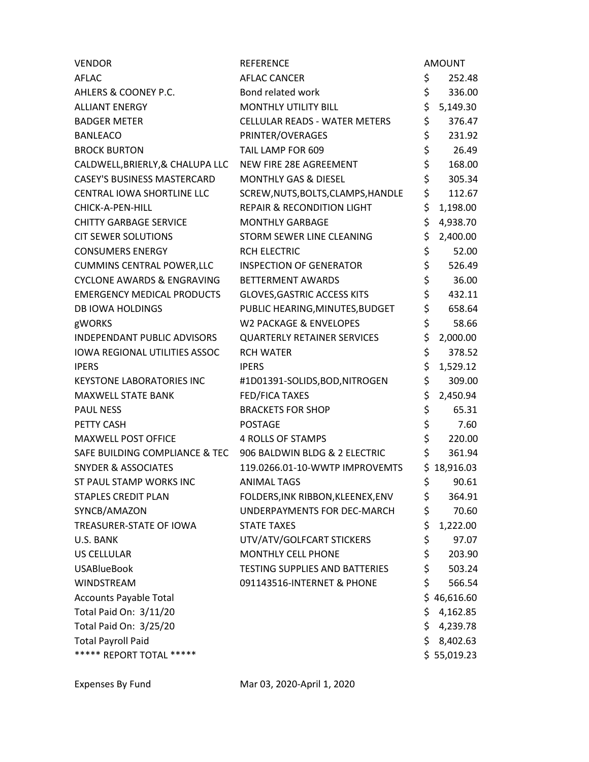| <b>VENDOR</b>                                                | <b>REFERENCE</b>                      |     | <b>AMOUNT</b> |
|--------------------------------------------------------------|---------------------------------------|-----|---------------|
| AFLAC                                                        | <b>AFLAC CANCER</b>                   | \$  | 252.48        |
| AHLERS & COONEY P.C.                                         | Bond related work                     | \$  | 336.00        |
| <b>ALLIANT ENERGY</b>                                        | <b>MONTHLY UTILITY BILL</b>           | \$  | 5,149.30      |
| <b>BADGER METER</b>                                          | <b>CELLULAR READS - WATER METERS</b>  | \$  | 376.47        |
| <b>BANLEACO</b>                                              | PRINTER/OVERAGES                      | \$  | 231.92        |
| <b>BROCK BURTON</b>                                          | TAIL LAMP FOR 609                     | \$  | 26.49         |
| CALDWELL, BRIERLY, & CHALUPA LLC                             | NEW FIRE 28E AGREEMENT                | \$  | 168.00        |
| <b>CASEY'S BUSINESS MASTERCARD</b>                           | <b>MONTHLY GAS &amp; DIESEL</b>       | \$  | 305.34        |
| CENTRAL IOWA SHORTLINE LLC                                   | SCREW, NUTS, BOLTS, CLAMPS, HANDLE    | \$  | 112.67        |
| CHICK-A-PEN-HILL                                             | <b>REPAIR &amp; RECONDITION LIGHT</b> | \$  | 1,198.00      |
| <b>CHITTY GARBAGE SERVICE</b>                                | <b>MONTHLY GARBAGE</b>                | \$  | 4,938.70      |
| <b>CIT SEWER SOLUTIONS</b>                                   | STORM SEWER LINE CLEANING             | \$  | 2,400.00      |
| <b>CONSUMERS ENERGY</b>                                      | <b>RCH ELECTRIC</b>                   | \$  | 52.00         |
| <b>CUMMINS CENTRAL POWER, LLC</b>                            | <b>INSPECTION OF GENERATOR</b>        | \$  | 526.49        |
| <b>CYCLONE AWARDS &amp; ENGRAVING</b>                        | <b>BETTERMENT AWARDS</b>              | \$  | 36.00         |
| <b>EMERGENCY MEDICAL PRODUCTS</b>                            | <b>GLOVES, GASTRIC ACCESS KITS</b>    | \$  | 432.11        |
| <b>DB IOWA HOLDINGS</b>                                      | PUBLIC HEARING, MINUTES, BUDGET       | \$  | 658.64        |
| gWORKS                                                       | <b>W2 PACKAGE &amp; ENVELOPES</b>     | \$  | 58.66         |
| INDEPENDANT PUBLIC ADVISORS                                  | <b>QUARTERLY RETAINER SERVICES</b>    | \$  | 2,000.00      |
| <b>IOWA REGIONAL UTILITIES ASSOC</b>                         | <b>RCH WATER</b>                      | \$  | 378.52        |
| <b>IPERS</b>                                                 | <b>IPERS</b>                          | \$  | 1,529.12      |
| <b>KEYSTONE LABORATORIES INC</b>                             | #1D01391-SOLIDS, BOD, NITROGEN        | \$  | 309.00        |
| <b>MAXWELL STATE BANK</b>                                    | FED/FICA TAXES                        | \$  | 2,450.94      |
| <b>PAUL NESS</b>                                             | <b>BRACKETS FOR SHOP</b>              | \$  | 65.31         |
| PETTY CASH                                                   | <b>POSTAGE</b>                        | \$  | 7.60          |
| <b>MAXWELL POST OFFICE</b>                                   | 4 ROLLS OF STAMPS                     | \$  | 220.00        |
| SAFE BUILDING COMPLIANCE & TEC 906 BALDWIN BLDG & 2 ELECTRIC |                                       | \$  | 361.94        |
| <b>SNYDER &amp; ASSOCIATES</b>                               | 119.0266.01-10-WWTP IMPROVEMTS        |     | \$18,916.03   |
| ST PAUL STAMP WORKS INC                                      | <b>ANIMAL TAGS</b>                    | \$  | 90.61         |
| <b>STAPLES CREDIT PLAN</b>                                   | FOLDERS, INK RIBBON, KLEENEX, ENV     | \$  | 364.91        |
| SYNCB/AMAZON                                                 | UNDERPAYMENTS FOR DEC-MARCH           | \$  | 70.60         |
| TREASURER-STATE OF IOWA                                      | <b>STATE TAXES</b>                    | \$  | 1,222.00      |
| U.S. BANK                                                    | UTV/ATV/GOLFCART STICKERS             | \$  | 97.07         |
| <b>US CELLULAR</b>                                           | <b>MONTHLY CELL PHONE</b>             | \$  | 203.90        |
| <b>USABlueBook</b>                                           | <b>TESTING SUPPLIES AND BATTERIES</b> | \$  | 503.24        |
| WINDSTREAM                                                   | 091143516-INTERNET & PHONE            | \$  | 566.54        |
| <b>Accounts Payable Total</b>                                |                                       |     | \$46,616.60   |
| Total Paid On: 3/11/20                                       |                                       | \$  | 4,162.85      |
| Total Paid On: 3/25/20                                       |                                       | \$. | 4,239.78      |
| <b>Total Payroll Paid</b>                                    |                                       | \$  | 8,402.63      |
| ***** REPORT TOTAL *****                                     |                                       |     | \$55,019.23   |
|                                                              |                                       |     |               |

Expenses By Fund Mar 03, 2020-April 1, 2020